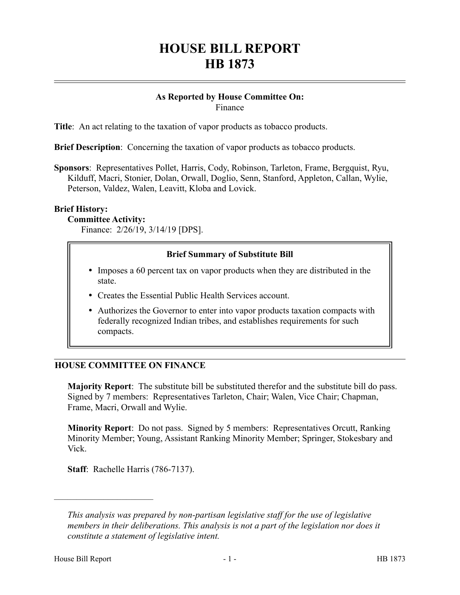# **HOUSE BILL REPORT HB 1873**

#### **As Reported by House Committee On:** Finance

**Title**: An act relating to the taxation of vapor products as tobacco products.

**Brief Description**: Concerning the taxation of vapor products as tobacco products.

**Sponsors**: Representatives Pollet, Harris, Cody, Robinson, Tarleton, Frame, Bergquist, Ryu, Kilduff, Macri, Stonier, Dolan, Orwall, Doglio, Senn, Stanford, Appleton, Callan, Wylie, Peterson, Valdez, Walen, Leavitt, Kloba and Lovick.

# **Brief History:**

#### **Committee Activity:**

Finance: 2/26/19, 3/14/19 [DPS].

# **Brief Summary of Substitute Bill**

- Imposes a 60 percent tax on vapor products when they are distributed in the state.
- Creates the Essential Public Health Services account.
- Authorizes the Governor to enter into vapor products taxation compacts with federally recognized Indian tribes, and establishes requirements for such compacts.

# **HOUSE COMMITTEE ON FINANCE**

**Majority Report**: The substitute bill be substituted therefor and the substitute bill do pass. Signed by 7 members: Representatives Tarleton, Chair; Walen, Vice Chair; Chapman, Frame, Macri, Orwall and Wylie.

**Minority Report**: Do not pass. Signed by 5 members: Representatives Orcutt, Ranking Minority Member; Young, Assistant Ranking Minority Member; Springer, Stokesbary and Vick.

**Staff**: Rachelle Harris (786-7137).

––––––––––––––––––––––

*This analysis was prepared by non-partisan legislative staff for the use of legislative members in their deliberations. This analysis is not a part of the legislation nor does it constitute a statement of legislative intent.*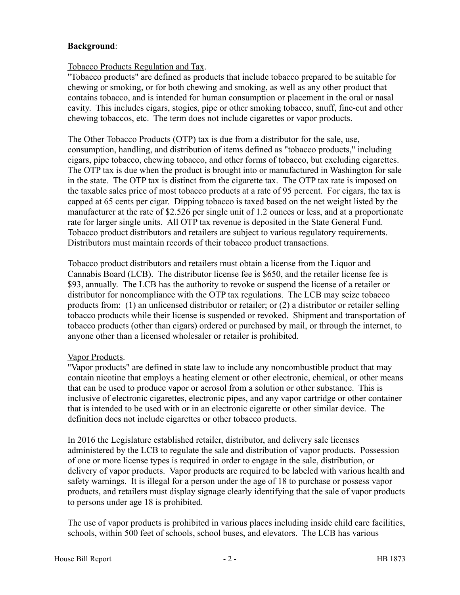# **Background**:

# Tobacco Products Regulation and Tax.

"Tobacco products" are defined as products that include tobacco prepared to be suitable for chewing or smoking, or for both chewing and smoking, as well as any other product that contains tobacco, and is intended for human consumption or placement in the oral or nasal cavity. This includes cigars, stogies, pipe or other smoking tobacco, snuff, fine-cut and other chewing tobaccos, etc. The term does not include cigarettes or vapor products.

The Other Tobacco Products (OTP) tax is due from a distributor for the sale, use, consumption, handling, and distribution of items defined as "tobacco products," including cigars, pipe tobacco, chewing tobacco, and other forms of tobacco, but excluding cigarettes. The OTP tax is due when the product is brought into or manufactured in Washington for sale in the state. The OTP tax is distinct from the cigarette tax. The OTP tax rate is imposed on the taxable sales price of most tobacco products at a rate of 95 percent. For cigars, the tax is capped at 65 cents per cigar. Dipping tobacco is taxed based on the net weight listed by the manufacturer at the rate of \$2.526 per single unit of 1.2 ounces or less, and at a proportionate rate for larger single units. All OTP tax revenue is deposited in the State General Fund. Tobacco product distributors and retailers are subject to various regulatory requirements. Distributors must maintain records of their tobacco product transactions.

Tobacco product distributors and retailers must obtain a license from the Liquor and Cannabis Board (LCB). The distributor license fee is \$650, and the retailer license fee is \$93, annually. The LCB has the authority to revoke or suspend the license of a retailer or distributor for noncompliance with the OTP tax regulations. The LCB may seize tobacco products from: (1) an unlicensed distributor or retailer; or (2) a distributor or retailer selling tobacco products while their license is suspended or revoked. Shipment and transportation of tobacco products (other than cigars) ordered or purchased by mail, or through the internet, to anyone other than a licensed wholesaler or retailer is prohibited.

# Vapor Products.

"Vapor products" are defined in state law to include any noncombustible product that may contain nicotine that employs a heating element or other electronic, chemical, or other means that can be used to produce vapor or aerosol from a solution or other substance. This is inclusive of electronic cigarettes, electronic pipes, and any vapor cartridge or other container that is intended to be used with or in an electronic cigarette or other similar device. The definition does not include cigarettes or other tobacco products.

In 2016 the Legislature established retailer, distributor, and delivery sale licenses administered by the LCB to regulate the sale and distribution of vapor products. Possession of one or more license types is required in order to engage in the sale, distribution, or delivery of vapor products. Vapor products are required to be labeled with various health and safety warnings. It is illegal for a person under the age of 18 to purchase or possess vapor products, and retailers must display signage clearly identifying that the sale of vapor products to persons under age 18 is prohibited.

The use of vapor products is prohibited in various places including inside child care facilities, schools, within 500 feet of schools, school buses, and elevators. The LCB has various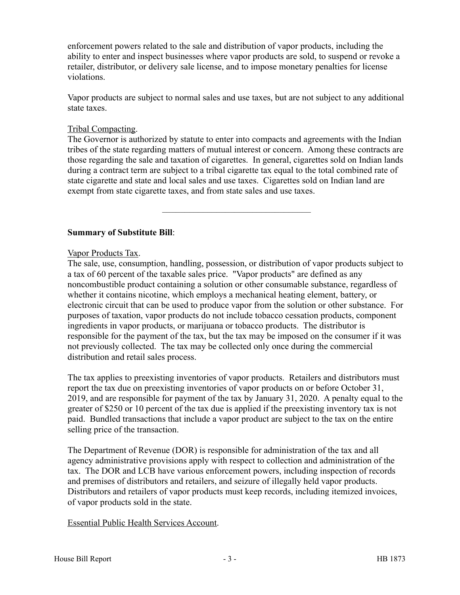enforcement powers related to the sale and distribution of vapor products, including the ability to enter and inspect businesses where vapor products are sold, to suspend or revoke a retailer, distributor, or delivery sale license, and to impose monetary penalties for license violations.

Vapor products are subject to normal sales and use taxes, but are not subject to any additional state taxes.

#### Tribal Compacting.

The Governor is authorized by statute to enter into compacts and agreements with the Indian tribes of the state regarding matters of mutual interest or concern. Among these contracts are those regarding the sale and taxation of cigarettes. In general, cigarettes sold on Indian lands during a contract term are subject to a tribal cigarette tax equal to the total combined rate of state cigarette and state and local sales and use taxes. Cigarettes sold on Indian land are exempt from state cigarette taxes, and from state sales and use taxes.

–––––––––––––––––––––––––––––––––

# **Summary of Substitute Bill**:

Vapor Products Tax.

The sale, use, consumption, handling, possession, or distribution of vapor products subject to a tax of 60 percent of the taxable sales price. "Vapor products" are defined as any noncombustible product containing a solution or other consumable substance, regardless of whether it contains nicotine, which employs a mechanical heating element, battery, or electronic circuit that can be used to produce vapor from the solution or other substance. For purposes of taxation, vapor products do not include tobacco cessation products, component ingredients in vapor products, or marijuana or tobacco products. The distributor is responsible for the payment of the tax, but the tax may be imposed on the consumer if it was not previously collected. The tax may be collected only once during the commercial distribution and retail sales process.

The tax applies to preexisting inventories of vapor products. Retailers and distributors must report the tax due on preexisting inventories of vapor products on or before October 31, 2019, and are responsible for payment of the tax by January 31, 2020. A penalty equal to the greater of \$250 or 10 percent of the tax due is applied if the preexisting inventory tax is not paid. Bundled transactions that include a vapor product are subject to the tax on the entire selling price of the transaction.

The Department of Revenue (DOR) is responsible for administration of the tax and all agency administrative provisions apply with respect to collection and administration of the tax. The DOR and LCB have various enforcement powers, including inspection of records and premises of distributors and retailers, and seizure of illegally held vapor products. Distributors and retailers of vapor products must keep records, including itemized invoices, of vapor products sold in the state.

Essential Public Health Services Account.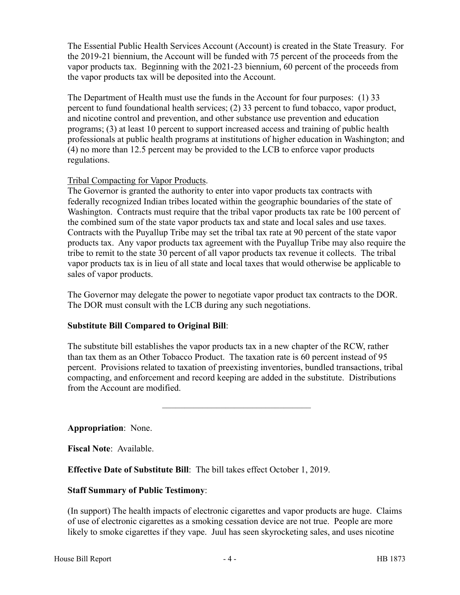The Essential Public Health Services Account (Account) is created in the State Treasury. For the 2019-21 biennium, the Account will be funded with 75 percent of the proceeds from the vapor products tax. Beginning with the 2021-23 biennium, 60 percent of the proceeds from the vapor products tax will be deposited into the Account.

The Department of Health must use the funds in the Account for four purposes: (1) 33 percent to fund foundational health services; (2) 33 percent to fund tobacco, vapor product, and nicotine control and prevention, and other substance use prevention and education programs; (3) at least 10 percent to support increased access and training of public health professionals at public health programs at institutions of higher education in Washington; and (4) no more than 12.5 percent may be provided to the LCB to enforce vapor products regulations.

# Tribal Compacting for Vapor Products.

The Governor is granted the authority to enter into vapor products tax contracts with federally recognized Indian tribes located within the geographic boundaries of the state of Washington. Contracts must require that the tribal vapor products tax rate be 100 percent of the combined sum of the state vapor products tax and state and local sales and use taxes. Contracts with the Puyallup Tribe may set the tribal tax rate at 90 percent of the state vapor products tax. Any vapor products tax agreement with the Puyallup Tribe may also require the tribe to remit to the state 30 percent of all vapor products tax revenue it collects. The tribal vapor products tax is in lieu of all state and local taxes that would otherwise be applicable to sales of vapor products.

The Governor may delegate the power to negotiate vapor product tax contracts to the DOR. The DOR must consult with the LCB during any such negotiations.

# **Substitute Bill Compared to Original Bill**:

The substitute bill establishes the vapor products tax in a new chapter of the RCW, rather than tax them as an Other Tobacco Product. The taxation rate is 60 percent instead of 95 percent. Provisions related to taxation of preexisting inventories, bundled transactions, tribal compacting, and enforcement and record keeping are added in the substitute. Distributions from the Account are modified.

–––––––––––––––––––––––––––––––––

# **Appropriation**: None.

**Fiscal Note**: Available.

**Effective Date of Substitute Bill**: The bill takes effect October 1, 2019.

# **Staff Summary of Public Testimony**:

(In support) The health impacts of electronic cigarettes and vapor products are huge. Claims of use of electronic cigarettes as a smoking cessation device are not true. People are more likely to smoke cigarettes if they vape. Juul has seen skyrocketing sales, and uses nicotine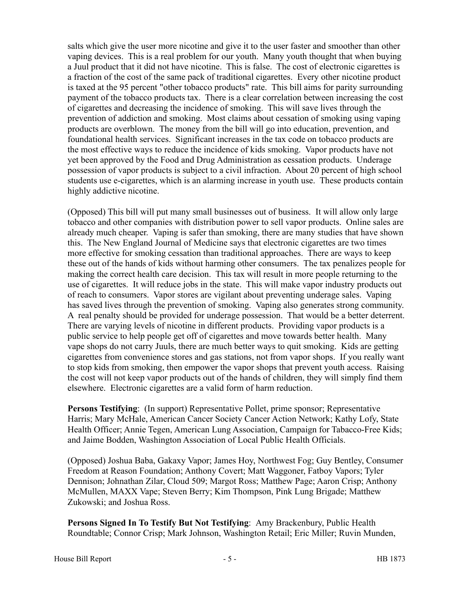salts which give the user more nicotine and give it to the user faster and smoother than other vaping devices. This is a real problem for our youth. Many youth thought that when buying a Juul product that it did not have nicotine. This is false. The cost of electronic cigarettes is a fraction of the cost of the same pack of traditional cigarettes. Every other nicotine product is taxed at the 95 percent "other tobacco products" rate. This bill aims for parity surrounding payment of the tobacco products tax. There is a clear correlation between increasing the cost of cigarettes and decreasing the incidence of smoking. This will save lives through the prevention of addiction and smoking. Most claims about cessation of smoking using vaping products are overblown. The money from the bill will go into education, prevention, and foundational health services. Significant increases in the tax code on tobacco products are the most effective ways to reduce the incidence of kids smoking. Vapor products have not yet been approved by the Food and Drug Administration as cessation products. Underage possession of vapor products is subject to a civil infraction. About 20 percent of high school students use e-cigarettes, which is an alarming increase in youth use. These products contain highly addictive nicotine.

(Opposed) This bill will put many small businesses out of business. It will allow only large tobacco and other companies with distribution power to sell vapor products. Online sales are already much cheaper. Vaping is safer than smoking, there are many studies that have shown this. The New England Journal of Medicine says that electronic cigarettes are two times more effective for smoking cessation than traditional approaches. There are ways to keep these out of the hands of kids without harming other consumers. The tax penalizes people for making the correct health care decision. This tax will result in more people returning to the use of cigarettes. It will reduce jobs in the state. This will make vapor industry products out of reach to consumers. Vapor stores are vigilant about preventing underage sales. Vaping has saved lives through the prevention of smoking. Vaping also generates strong community. A real penalty should be provided for underage possession. That would be a better deterrent. There are varying levels of nicotine in different products. Providing vapor products is a public service to help people get off of cigarettes and move towards better health. Many vape shops do not carry Juuls, there are much better ways to quit smoking. Kids are getting cigarettes from convenience stores and gas stations, not from vapor shops. If you really want to stop kids from smoking, then empower the vapor shops that prevent youth access. Raising the cost will not keep vapor products out of the hands of children, they will simply find them elsewhere. Electronic cigarettes are a valid form of harm reduction.

**Persons Testifying**: (In support) Representative Pollet, prime sponsor; Representative Harris; Mary McHale, American Cancer Society Cancer Action Network; Kathy Lofy, State Health Officer; Annie Tegen, American Lung Association, Campaign for Tabacco-Free Kids; and Jaime Bodden, Washington Association of Local Public Health Officials.

(Opposed) Joshua Baba, Gakaxy Vapor; James Hoy, Northwest Fog; Guy Bentley, Consumer Freedom at Reason Foundation; Anthony Covert; Matt Waggoner, Fatboy Vapors; Tyler Dennison; Johnathan Zilar, Cloud 509; Margot Ross; Matthew Page; Aaron Crisp; Anthony McMullen, MAXX Vape; Steven Berry; Kim Thompson, Pink Lung Brigade; Matthew Zukowski; and Joshua Ross.

**Persons Signed In To Testify But Not Testifying**: Amy Brackenbury, Public Health Roundtable; Connor Crisp; Mark Johnson, Washington Retail; Eric Miller; Ruvin Munden,